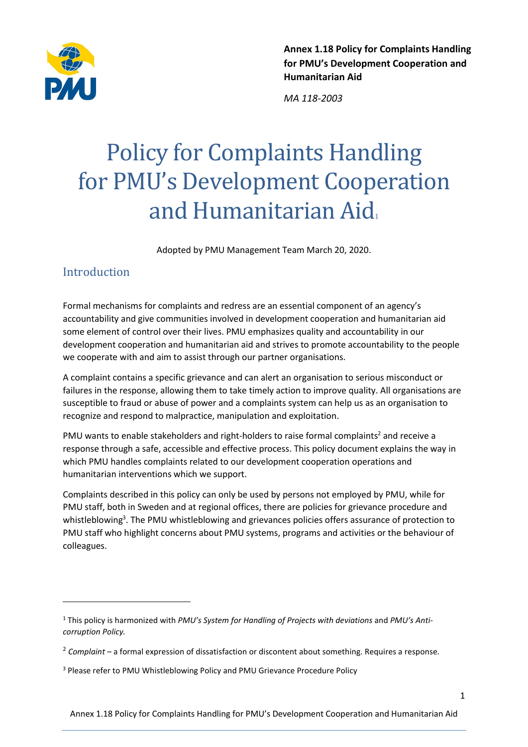

Annex 1.18 Policy for Complaints Handling for PMU's Development Cooperation and Humanitarian Aid

*MA 118-2003*

# Policy for Complaints Handling for PMU's Development Cooperation and Humanitarian Aid

Adopted by PMU Management Team March 20, 2020.

## Introduction

**.** 

Formal mechanisms for complaints and redress are an essential component of an agency's accountability and give communities involved in development cooperation and humanitarian aid some element of control over their lives. PMU emphasizes quality and accountability in our development cooperation and humanitarian aid and strives to promote accountability to the people we cooperate with and aim to assist through our partner organisations.

A complaint contains a specific grievance and can alert an organisation to serious misconduct or failures in the response, allowing them to take timely action to improve quality. All organisations are susceptible to fraud or abuse of power and a complaints system can help us as an organisation to recognize and respond to malpractice, manipulation and exploitation.

PMU wants to enable stakeholders and right-holders to raise formal complaints<sup>2</sup> and receive a response through a safe, accessible and effective process. This policy document explains the way in which PMU handles complaints related to our development cooperation operations and humanitarian interventions which we support.

Complaints described in this policy can only be used by persons not employed by PMU, while for PMU staff, both in Sweden and at regional offices, there are policies for grievance procedure and whistleblowing<sup>3</sup>. The PMU whistleblowing and grievances policies offers assurance of protection to PMU staff who highlight concerns about PMU systems, programs and activities or the behaviour of colleagues.

<sup>1</sup> This policy is harmonized with *PMU's System for Handling of Projects with deviations* and *PMU's Anticorruption Policy.*

<sup>2</sup> *Complaint* – a formal expression of dissatisfaction or discontent about something. Requires a response.

<sup>&</sup>lt;sup>3</sup> Please refer to PMU Whistleblowing Policy and PMU Grievance Procedure Policy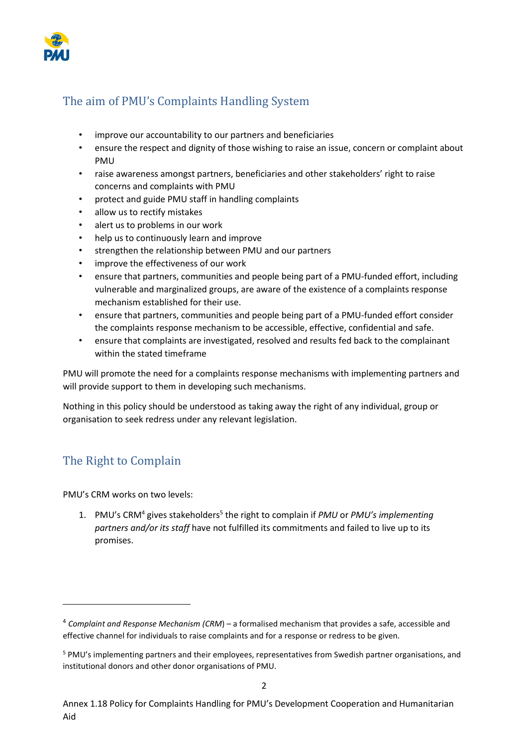

# The aim of PMU's Complaints Handling System

- improve our accountability to our partners and beneficiaries
- ensure the respect and dignity of those wishing to raise an issue, concern or complaint about PMU
- raise awareness amongst partners, beneficiaries and other stakeholders' right to raise concerns and complaints with PMU
- protect and guide PMU staff in handling complaints
- allow us to rectify mistakes
- alert us to problems in our work
- help us to continuously learn and improve
- strengthen the relationship between PMU and our partners
- improve the effectiveness of our work
- ensure that partners, communities and people being part of a PMU-funded effort, including vulnerable and marginalized groups, are aware of the existence of a complaints response mechanism established for their use.
- ensure that partners, communities and people being part of a PMU-funded effort consider the complaints response mechanism to be accessible, effective, confidential and safe.
- ensure that complaints are investigated, resolved and results fed back to the complainant within the stated timeframe

PMU will promote the need for a complaints response mechanisms with implementing partners and will provide support to them in developing such mechanisms.

Nothing in this policy should be understood as taking away the right of any individual, group or organisation to seek redress under any relevant legislation.

# The Right to Complain

PMU's CRM works on two levels:

1

1. PMU's CRM<sup>4</sup> gives stakeholders<sup>5</sup> the right to complain if *PMU* or *PMU's implementing partners and/or its staff* have not fulfilled its commitments and failed to live up to its promises.

<sup>4</sup> *Complaint and Response Mechanism (CRM*) – a formalised mechanism that provides a safe, accessible and effective channel for individuals to raise complaints and for a response or redress to be given.

<sup>5</sup> PMU's implementing partners and their employees, representatives from Swedish partner organisations, and institutional donors and other donor organisations of PMU.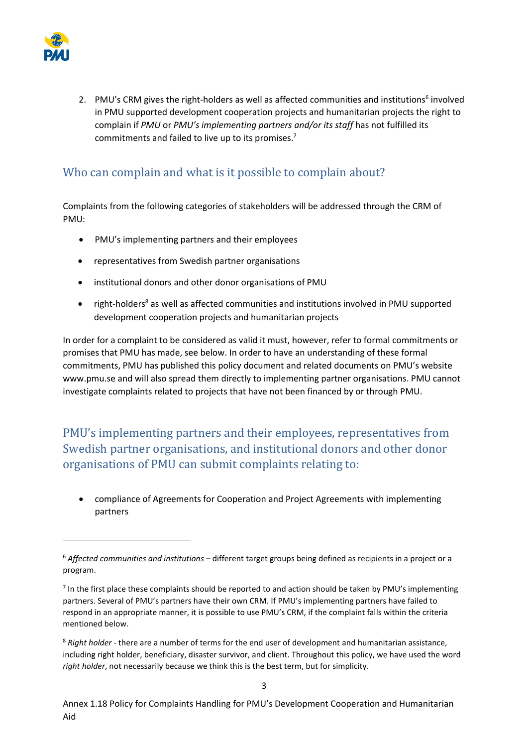

**.** 

2. PMU's CRM gives the right-holders as well as affected communities and institutions<sup>6</sup> involved in PMU supported development cooperation projects and humanitarian projects the right to complain if *PMU* or *PMU's implementing partners and/or its staff* has not fulfilled its commitments and failed to live up to its promises.<sup>7</sup>

## Who can complain and what is it possible to complain about?

Complaints from the following categories of stakeholders will be addressed through the CRM of PMU:

- PMU's implementing partners and their employees
- representatives from Swedish partner organisations
- institutional donors and other donor organisations of PMU
- right-holders<sup>8</sup> as well as affected communities and institutions involved in PMU supported development cooperation projects and humanitarian projects

In order for a complaint to be considered as valid it must, however, refer to formal commitments or promises that PMU has made, see below. In order to have an understanding of these formal commitments, PMU has published this policy document and related documents on PMU's website [www.pmu.se](http://www.pmu.se/) and will also spread them directly to implementing partner organisations. PMU cannot investigate complaints related to projects that have not been financed by or through PMU.

PMU's implementing partners and their employees, representatives from Swedish partner organisations, and institutional donors and other donor organisations of PMU can submit complaints relating to:

 compliance of Agreements for Cooperation and Project Agreements with implementing partners

<sup>6</sup> *Affected communities and institutions* – different target groups being defined as recipients in a project or a program.

<sup>&</sup>lt;sup>7</sup> In the first place these complaints should be reported to and action should be taken by PMU's implementing partners. Several of PMU's partners have their own CRM. If PMU's implementing partners have failed to respond in an appropriate manner, it is possible to use PMU's CRM, if the complaint falls within the criteria mentioned below.

<sup>8</sup> *Right holder* - there are a number of terms for the end user of development and humanitarian assistance, including right holder, beneficiary, disaster survivor, and client. Throughout this policy, we have used the word *right holder*, not necessarily because we think this is the best term, but for simplicity.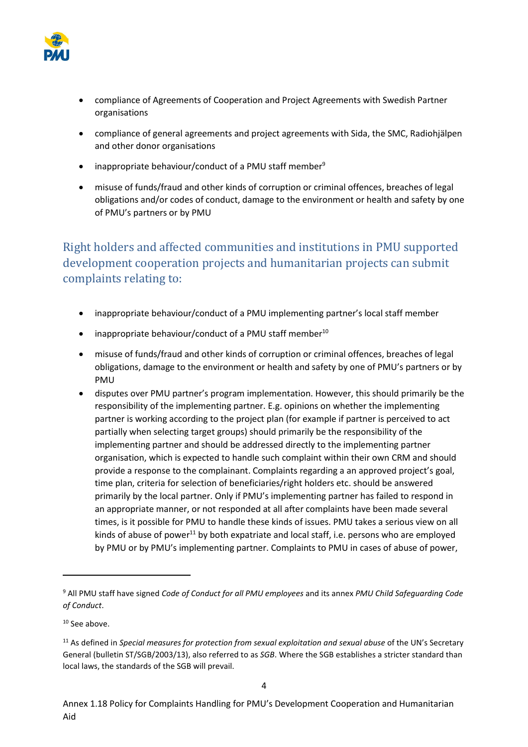

- compliance of Agreements of Cooperation and Project Agreements with Swedish Partner organisations
- compliance of general agreements and project agreements with Sida, the SMC, Radiohjälpen and other donor organisations
- inappropriate behaviour/conduct of a PMU staff member<sup>9</sup>
- misuse of funds/fraud and other kinds of corruption or criminal offences, breaches of legal obligations and/or codes of conduct, damage to the environment or health and safety by one of PMU's partners or by PMU

Right holders and affected communities and institutions in PMU supported development cooperation projects and humanitarian projects can submit complaints relating to:

- inappropriate behaviour/conduct of a PMU implementing partner's local staff member
- inappropriate behaviour/conduct of a PMU staff member $10$
- misuse of funds/fraud and other kinds of corruption or criminal offences, breaches of legal obligations, damage to the environment or health and safety by one of PMU's partners or by PMU
- disputes over PMU partner's program implementation. However, this should primarily be the responsibility of the implementing partner. E.g. opinions on whether the implementing partner is working according to the project plan (for example if partner is perceived to act partially when selecting target groups) should primarily be the responsibility of the implementing partner and should be addressed directly to the implementing partner organisation, which is expected to handle such complaint within their own CRM and should provide a response to the complainant. Complaints regarding a an approved project's goal, time plan, criteria for selection of beneficiaries/right holders etc. should be answered primarily by the local partner. Only if PMU's implementing partner has failed to respond in an appropriate manner, or not responded at all after complaints have been made several times, is it possible for PMU to handle these kinds of issues. PMU takes a serious view on all kinds of abuse of power<sup>11</sup> by both expatriate and local staff, i.e. persons who are employed by PMU or by PMU's implementing partner. Complaints to PMU in cases of abuse of power,

1

<sup>9</sup> All PMU staff have signed *Code of Conduct for all PMU employees* and its annex *PMU Child Safeguarding Code of Conduct*.

<sup>&</sup>lt;sup>10</sup> See above.

<sup>11</sup> As defined in *Special measures for protection from sexual exploitation and sexual abuse* of the UN's Secretary General (bulletin ST/SGB/2003/13), also referred to as *SGB*. Where the SGB establishes a stricter standard than local laws, the standards of the SGB will prevail.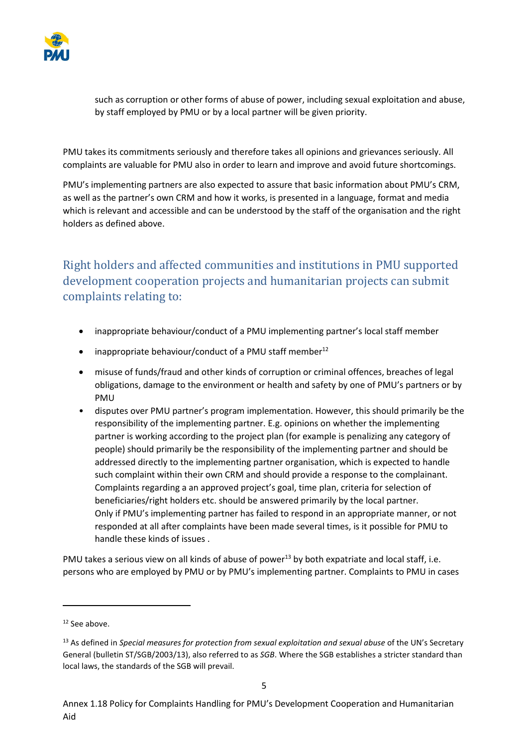

such as corruption or other forms of abuse of power, including sexual exploitation and abuse, by staff employed by PMU or by a local partner will be given priority.

PMU takes its commitments seriously and therefore takes all opinions and grievances seriously. All complaints are valuable for PMU also in order to learn and improve and avoid future shortcomings.

PMU's implementing partners are also expected to assure that basic information about PMU's CRM, as well as the partner's own CRM and how it works, is presented in a language, format and media which is relevant and accessible and can be understood by the staff of the organisation and the right holders as defined above.

Right holders and affected communities and institutions in PMU supported development cooperation projects and humanitarian projects can submit complaints relating to:

- inappropriate behaviour/conduct of a PMU implementing partner's local staff member
- $\bullet$  inappropriate behaviour/conduct of a PMU staff member<sup>12</sup>
- misuse of funds/fraud and other kinds of corruption or criminal offences, breaches of legal obligations, damage to the environment or health and safety by one of PMU's partners or by PMU
- disputes over PMU partner's program implementation. However, this should primarily be the responsibility of the implementing partner. E.g. opinions on whether the implementing partner is working according to the project plan (for example is penalizing any category of people) should primarily be the responsibility of the implementing partner and should be addressed directly to the implementing partner organisation, which is expected to handle such complaint within their own CRM and should provide a response to the complainant. Complaints regarding a an approved project's goal, time plan, criteria for selection of beneficiaries/right holders etc. should be answered primarily by the local partner. Only if PMU's implementing partner has failed to respond in an appropriate manner, or not responded at all after complaints have been made several times, is it possible for PMU to handle these kinds of issues .

PMU takes a serious view on all kinds of abuse of power<sup>13</sup> by both expatriate and local staff, i.e. persons who are employed by PMU or by PMU's implementing partner. Complaints to PMU in cases

**.** 

<sup>12</sup> See above.

<sup>13</sup> As defined in *Special measures for protection from sexual exploitation and sexual abuse* of the UN's Secretary General (bulletin ST/SGB/2003/13), also referred to as *SGB*. Where the SGB establishes a stricter standard than local laws, the standards of the SGB will prevail.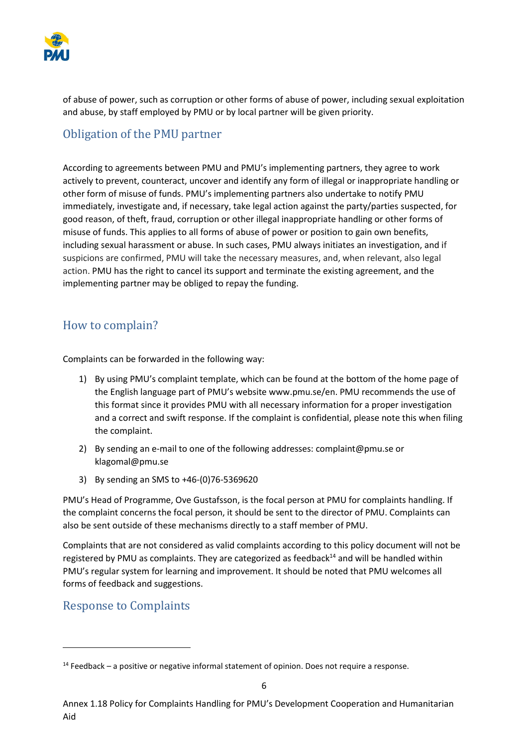

of abuse of power, such as corruption or other forms of abuse of power, including sexual exploitation and abuse, by staff employed by PMU or by local partner will be given priority.

## Obligation of the PMU partner

According to agreements between PMU and PMU's implementing partners, they agree to work actively to prevent, counteract, uncover and identify any form of illegal or inappropriate handling or other form of misuse of funds. PMU's implementing partners also undertake to notify PMU immediately, investigate and, if necessary, take legal action against the party/parties suspected, for good reason, of theft, fraud, corruption or other illegal inappropriate handling or other forms of misuse of funds. This applies to all forms of abuse of power or position to gain own benefits, including sexual harassment or abuse. In such cases, PMU always initiates an investigation, and if suspicions are confirmed, PMU will take the necessary measures, and, when relevant, also legal action. PMU has the right to cancel its support and terminate the existing agreement, and the implementing partner may be obliged to repay the funding.

## How to complain?

Complaints can be forwarded in the following way:

- 1) By using PMU's complaint template, which can be found at the bottom of the home page of the English language part of PMU's website [www.pmu.se/en](http://www.pmu.se/). PMU recommends the use of this format since it provides PMU with all necessary information for a proper investigation and a correct and swift response. If the complaint is confidential, please note this when filing the complaint.
- 2) By sending an e-mail to one of the following addresses: [complaint@pmu.se](mailto:complaint@pmu.se) or [klagomal@pmu.se](mailto:klagomal@pmu.se)
- 3) By sending an SMS to +46-(0)76-5369620

PMU's Head of Programme, Ove Gustafsson, is the focal person at PMU for complaints handling. If the complaint concerns the focal person, it should be sent to the director of PMU. Complaints can also be sent outside of these mechanisms directly to a staff member of PMU.

Complaints that are not considered as valid complaints according to this policy document will not be registered by PMU as complaints. They are categorized as feedback<sup>14</sup> and will be handled within PMU's regular system for learning and improvement. It should be noted that PMU welcomes all forms of feedback and suggestions.

#### Response to Complaints

**.** 

 $14$  Feedback – a positive or negative informal statement of opinion. Does not require a response.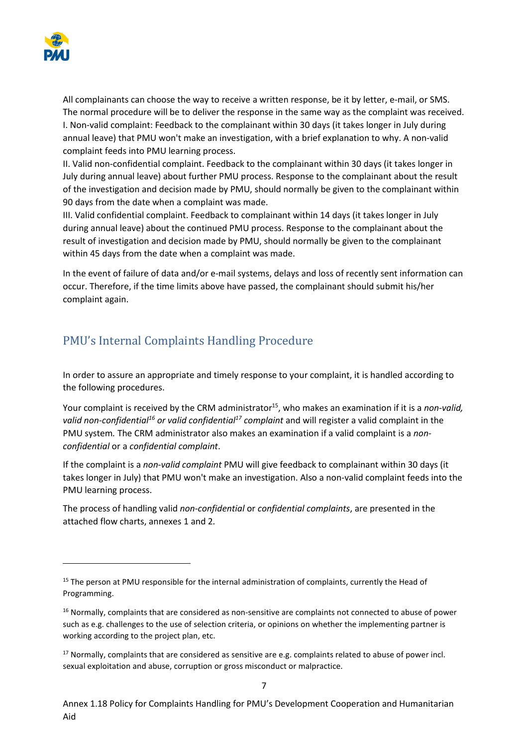

**.** 

All complainants can choose the way to receive a written response, be it by letter, e-mail, or SMS. The normal procedure will be to deliver the response in the same way as the complaint was received. I. Non-valid complaint: Feedback to the complainant within 30 days (it takes longer in July during annual leave) that PMU won't make an investigation, with a brief explanation to why. A non-valid complaint feeds into PMU learning process.

II. Valid non-confidential complaint. Feedback to the complainant within 30 days (it takes longer in July during annual leave) about further PMU process. Response to the complainant about the result of the investigation and decision made by PMU, should normally be given to the complainant within 90 days from the date when a complaint was made.

III. Valid confidential complaint. Feedback to complainant within 14 days (it takes longer in July during annual leave) about the continued PMU process. Response to the complainant about the result of investigation and decision made by PMU, should normally be given to the complainant within 45 days from the date when a complaint was made.

In the event of failure of data and/or e-mail systems, delays and loss of recently sent information can occur. Therefore, if the time limits above have passed, the complainant should submit his/her complaint again.

# PMU's Internal Complaints Handling Procedure

In order to assure an appropriate and timely response to your complaint, it is handled according to the following procedures.

Your complaint is received by the CRM administrator<sup>15</sup>, who makes an examination if it is a *non-valid, valid non-confidential16 or valid confidential17 complaint* and will register a valid complaint in the PMU system*.* The CRM administrator also makes an examination if a valid complaint is a *nonconfidential* or a *confidential complaint*.

If the complaint is a *non-valid complaint* PMU will give feedback to complainant within 30 days (it takes longer in July) that PMU won't make an investigation. Also a non-valid complaint feeds into the PMU learning process.

The process of handling valid *non-confidential* or *confidential complaints*, are presented in the attached flow charts, annexes 1 and 2*.*

<sup>&</sup>lt;sup>15</sup> The person at PMU responsible for the internal administration of complaints, currently the Head of Programming.

<sup>&</sup>lt;sup>16</sup> Normally, complaints that are considered as non-sensitive are complaints not connected to abuse of power such as e.g. challenges to the use of selection criteria, or opinions on whether the implementing partner is working according to the project plan, etc.

 $17$  Normally, complaints that are considered as sensitive are e.g. complaints related to abuse of power incl. sexual exploitation and abuse, corruption or gross misconduct or malpractice.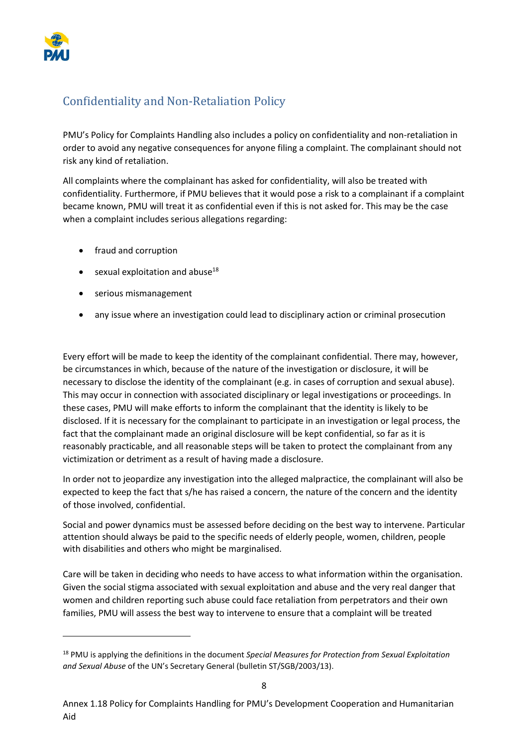

1

# Confidentiality and Non-Retaliation Policy

PMU's Policy for Complaints Handling also includes a policy on confidentiality and non-retaliation in order to avoid any negative consequences for anyone filing a complaint. The complainant should not risk any kind of retaliation.

All complaints where the complainant has asked for confidentiality, will also be treated with confidentiality. Furthermore, if PMU believes that it would pose a risk to a complainant if a complaint became known, PMU will treat it as confidential even if this is not asked for. This may be the case when a complaint includes serious allegations regarding:

- fraud and corruption
- sexual exploitation and abuse $^{18}$
- serious mismanagement
- any issue where an investigation could lead to disciplinary action or criminal prosecution

Every effort will be made to keep the identity of the complainant confidential. There may, however, be circumstances in which, because of the nature of the investigation or disclosure, it will be necessary to disclose the identity of the complainant (e.g. in cases of corruption and sexual abuse). This may occur in connection with associated disciplinary or legal investigations or proceedings. In these cases, PMU will make efforts to inform the complainant that the identity is likely to be disclosed. If it is necessary for the complainant to participate in an investigation or legal process, the fact that the complainant made an original disclosure will be kept confidential, so far as it is reasonably practicable, and all reasonable steps will be taken to protect the complainant from any victimization or detriment as a result of having made a disclosure.

In order not to jeopardize any investigation into the alleged malpractice, the complainant will also be expected to keep the fact that s/he has raised a concern, the nature of the concern and the identity of those involved, confidential.

Social and power dynamics must be assessed before deciding on the best way to intervene. Particular attention should always be paid to the specific needs of elderly people, women, children, people with disabilities and others who might be marginalised.

Care will be taken in deciding who needs to have access to what information within the organisation. Given the social stigma associated with sexual exploitation and abuse and the very real danger that women and children reporting such abuse could face retaliation from perpetrators and their own families, PMU will assess the best way to intervene to ensure that a complaint will be treated

<sup>18</sup> PMU is applying the definitions in the document *Special Measures for Protection from Sexual Exploitation and Sexual Abuse* of the UN's Secretary General (bulletin ST/SGB/2003/13).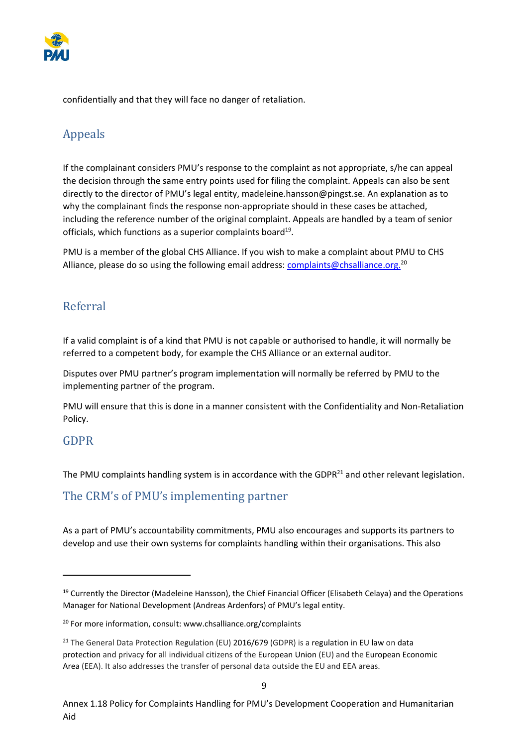

confidentially and that they will face no danger of retaliation.

# Appeals

If the complainant considers PMU's response to the complaint as not appropriate, s/he can appeal the decision through the same entry points used for filing the complaint. Appeals can also be sent directly to the director of PMU's legal entity, madeleine.hansson@pingst.se. An explanation as to why the complainant finds the response non-appropriate should in these cases be attached, including the reference number of the original complaint. Appeals are handled by a team of senior officials, which functions as a superior complaints board<sup>19</sup>.

PMU is a member of the global CHS Alliance. If you wish to make a complaint about PMU to CHS Alliance, please do so using the following email address: complaints@chsalliance.org.<sup>20</sup>

## Referral

If a valid complaint is of a kind that PMU is not capable or authorised to handle, it will normally be referred to a competent body, for example the CHS Alliance or an external auditor.

Disputes over PMU partner's program implementation will normally be referred by PMU to the implementing partner of the program.

PMU will ensure that this is done in a manner consistent with the Confidentiality and Non-Retaliation Policy.

#### GDPR

1

The PMU complaints handling system is in accordance with the GDPR<sup>21</sup> and other relevant legislation.

#### The CRM's of PMU's implementing partner

As a part of PMU's accountability commitments, PMU also encourages and supports its partners to develop and use their own systems for complaints handling within their organisations. This also

 $19$  Currently the Director (Madeleine Hansson), the Chief Financial Officer (Elisabeth Celaya) and the Operations Manager for National Development (Andreas Ardenfors) of PMU's legal entity.

<sup>&</sup>lt;sup>20</sup> For more information, consult: www.chsalliance.org/complaints

<sup>&</sup>lt;sup>21</sup> The General Data Protection Regulation (EU) 2016/679 (GDPR) is a regulation in EU law on data protection and privacy for all individual citizens of the European Union (EU) and the European Economic Area (EEA). It also addresses the transfer of personal data outside the EU and EEA areas.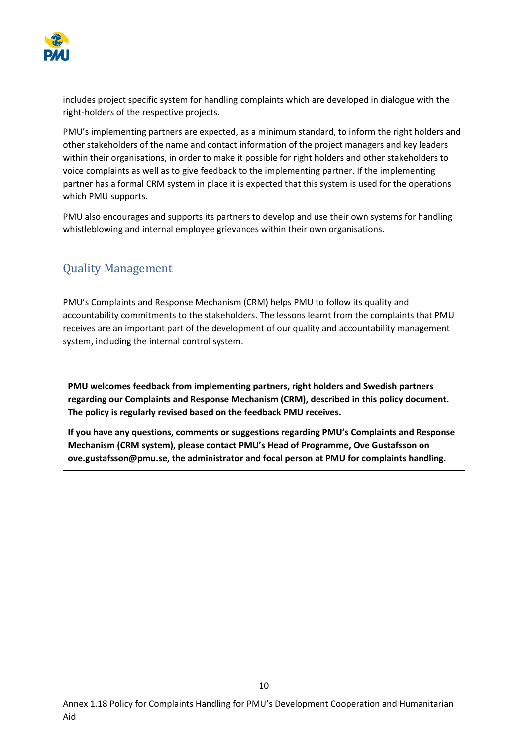

includes project specific system for handling complaints which are developed in dialogue with the right-holders of the respective projects.

PMU's implementing partners are expected, as a minimum standard, to inform the right holders and other stakeholders of the name and contact information of the project managers and key leaders within their organisations, in order to make it possible for right holders and other stakeholders to voice complaints as well as to give feedback to the implementing partner. If the implementing partner has a formal CRM system in place it is expected that this system is used for the operations which PMU supports.

PMU also encourages and supports its partners to develop and use their own systems for handling whistleblowing and internal employee grievances within their own organisations.

## Quality Management

PMU's Complaints and Response Mechanism (CRM) helps PMU to follow its quality and accountability commitments to the stakeholders. The lessons learnt from the complaints that PMU receives are an important part of the development of our quality and accountability management system, including the internal control system.

PMU welcomes feedback from implementing partners, right holders and Swedish partners regarding our Complaints and Response Mechanism (CRM), described in this policy document. The policy is regularly revised based on the feedback PMU receives.

If you have any questions, comments or suggestions regarding PMU's Complaints and Response Mechanism (CRM system), please contact PMU's Head of Programme, Ove Gustafsson on [ove.gustafsson@pmu.se, the a](mailto:ove.gustafsson@pmu.se)dministrator and focal person at PMU for complaints handling.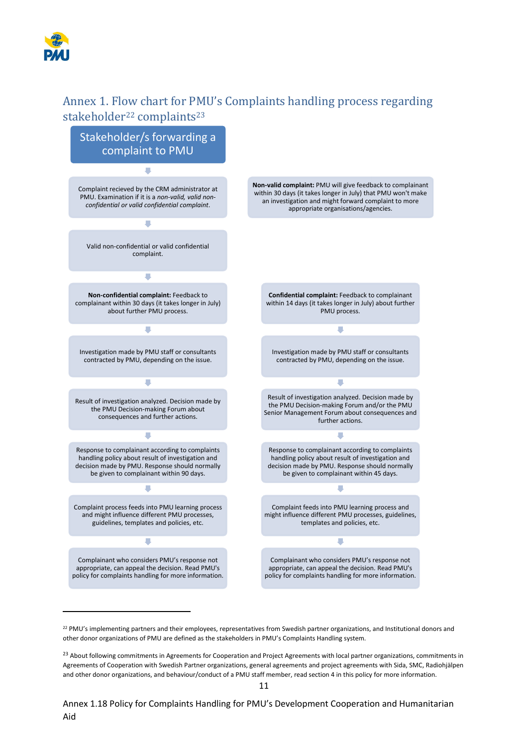

**.** 

# Annex 1. Flow chart for PMU's Complaints handling process regarding stakeholder<sup>22</sup> complaints<sup>23</sup>

Stakeholder/s forwarding a complaint to PMU Non-valid complaint: PMU will give feedback to complainant Complaint recieved by the CRM administrator at within 30 days (it takes longer in July) that PMU won't make PMU. Examination if it is a *non-valid, valid non*an investigation and might forward complaint to more *confidential or valid confidential complaint*. appropriate organisations/agencies. л Valid non-confidential or valid confidential complaint. Ū, Non-confidential complaint: Feedback to Confidential complaint: Feedback to complainant complainant within 30 days (it takes longer in July) within 14 days (it takes longer in July) about further PMU process. about further PMU process. Г J. Investigation made by PMU staff or consultants Investigation made by PMU staff or consultants contracted by PMU, depending on the issue. contracted by PMU, depending on the issue. л Ū Result of investigation analyzed. Decision made by Result of investigation analyzed. Decision made by the PMU Decision-making Forum and/or the PMU the PMU Decision-making Forum about Senior Management Forum about consequences and consequences and further actions. further actions. п Response to complainant according to complaints Response to complainant according to complaints handling policy about result of investigation and handling policy about result of investigation and decision made by PMU. Response should normally decision made by PMU. Response should normally be given to complainant within 90 days. be given to complainant within 45 days. Complaint process feeds into PMU learning process Complaint feeds into PMU learning process and and might influence different PMU processes, might influence different PMU processes, guidelines, guidelines, templates and policies, etc. templates and policies, etc. J. Л Complainant who considers PMU's response not Complainant who considers PMU's response not appropriate, can appeal the decision. Read PMU's appropriate, can appeal the decision. Read PMU's policy for complaints handling for more information. policy for complaints handling for more information.

<sup>&</sup>lt;sup>22</sup> PMU's implementing partners and their employees, representatives from Swedish partner organizations, and Institutional donors and other donor organizations of PMU are defined as the stakeholders in PMU's Complaints Handling system.

<sup>&</sup>lt;sup>23</sup> About following commitments in Agreements for Cooperation and Project Agreements with local partner organizations, commitments in Agreements of Cooperation with Swedish Partner organizations, general agreements and project agreements with Sida, SMC, Radiohjälpen and other donor organizations, and behaviour/conduct of a PMU staff member, read section 4 in this policy for more information.